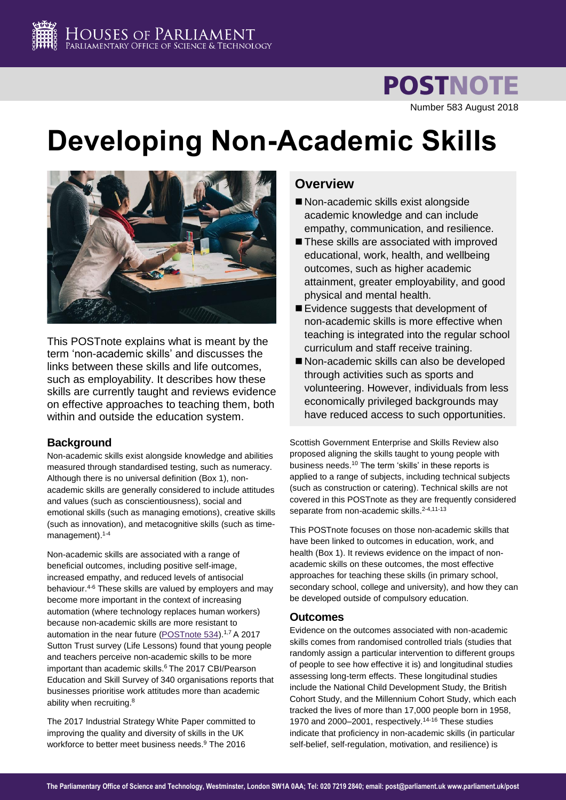**POSTNOTE** Number 583 August 2018

# **Developing Non-Academic Skills**



This POSTnote explains what is meant by the term 'non-academic skills' and discusses the links between these skills and life outcomes, such as employability. It describes how these skills are currently taught and reviews evidence on effective approaches to teaching them, both within and outside the education system.

# **Background**

Non-academic skills exist alongside knowledge and abilities measured through standardised testing, such as numeracy. Although there is no universal definition (Box 1), nonacademic skills are generally considered to include attitudes and values (such as conscientiousness), social and emotional skills (such as managing emotions), creative skills (such as innovation), and metacognitive skills (such as timemanagement). 1-4

<span id="page-0-2"></span><span id="page-0-1"></span><span id="page-0-0"></span>Non-academic skills are associated with a range of beneficial outcomes, including positive self-image, increased empathy, and reduced levels of antisocial behaviour.[4-6](#page-0-0) These skills are valued by employers and may become more important in the context of increasing automation (where technology replaces human workers) because non-academic skills are more resistant to automation in the near future [\(POSTnote 534\)](http://researchbriefings.parliament.uk/ResearchBriefing/Summary/POST-PN-0534?utm_source=directory&utm_medium=website&utm_campaign=PN534).<sup>[1,7](#page-0-1)</sup> A 2017 Sutton Trust survey (Life Lessons) found that young people and teachers perceive non-academic skills to be more important than academic skill[s.](#page-0-2) <sup>6</sup> The 2017 CBI/Pearson Education and Skill Survey of 340 organisations reports that businesses prioritise work attitudes more than academic ability when recruiting.<sup>8</sup>

<span id="page-0-6"></span>The 2017 Industrial Strategy White Paper committed to improving the quality and diversity of skills in the UK workforce to better meet business needs. <sup>9</sup> The 2016

# **Overview**

- Non-academic skills exist alongside academic knowledge and can include empathy, communication, and resilience.
- These skills are associated with improved educational, work, health, and wellbeing outcomes, such as higher academic attainment, greater employability, and good physical and mental health.
- Evidence suggests that development of non-academic skills is more effective when teaching is integrated into the regular school curriculum and staff receive training.
- Non-academic skills can also be developed through activities such as sports and volunteering. However, individuals from less economically privileged backgrounds may have reduced access to such opportunities.

Scottish Government Enterprise and Skills Review also proposed aligning the skills taught to young people with business needs.<sup>10</sup> The term 'skills' in these reports is applied to a range of subjects, including technical subjects (such as construction or catering). Technical skills are not covered in this POSTnote as they are frequently considered separate from non-academic skills.<sup>[2-4,1](#page-0-0)1-13</sup>

<span id="page-0-5"></span><span id="page-0-4"></span>This POSTnote focuses on those non-academic skills that have been linked to outcomes in education, work, and health (Box 1). It reviews evidence on the impact of nonacademic skills on these outcomes, the most effective approaches for teaching these skills (in primary school, secondary school, college and university), and how they can be developed outside of compulsory education.

# **Outcomes**

<span id="page-0-3"></span>Evidence on the outcomes associated with non-academic skills comes from randomised controlled trials (studies that randomly assign a particular intervention to different groups of people to see how effective it is) and longitudinal studies assessing long-term effects. These longitudinal studies include the National Child Development Study, the British Cohort Study, and the Millennium Cohort Study, which each tracked the lives of more than 17,000 people born in 1958, 1970 and 2000–2001, respectively. 14-16 These studies indicate that proficiency in non-academic skills (in particular self-belief, self-regulation, motivation, and resilience) is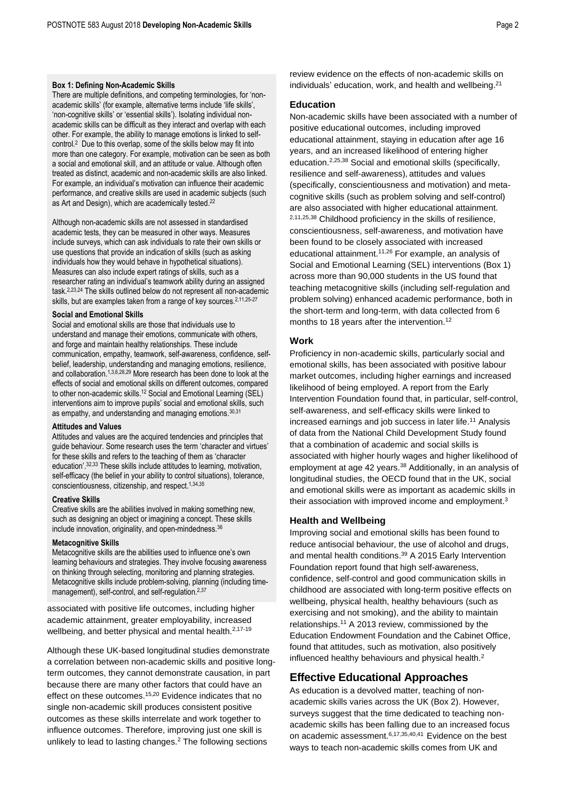### **Box 1: Defining Non-Academic Skills**

There are multiple definitions, and competing terminologies, for 'nonacademic skills' (for example, alternative terms include 'life skills', 'non-cognitive skills' or 'essential skills'). Isolating individual nonacademic skills can be difficult as they interact and overlap with each other. For example, the ability to manage emotions is linked to selfcontro[l.](#page-0-0)<sup>2</sup> Due to this overlap, some of the skills below may fit into more than one category. For example, motivation can be seen as both a social and emotional skill, and an attitude or value. Although often treated as distinct, academic and non-academic skills are also linked. For example, an individual's motivation can influence their academic performance, and creative skills are used in academic subjects (such as Art and Design), which are academically tested.<sup>22</sup>

Although non-academic skills are not assessed in standardised academic tests, they can be measured in other ways. Measures include surveys, which can ask individuals to rate their own skills or use questions that provide an indication of skills (such as asking individuals how they would behave in hypothetical situations). Measures can also include expert ratings of skills, such as a researcher rating an individual's teamwork ability during an assigned task. [2,2](#page-0-0)3,24 The skills outlined below do not represent all non-academic skills, but are examples taken from a range of key sources.<sup>[2,](#page-0-0)[11,2](#page-0-4)5-27</sup>

### **Social and Emotional Skills**

Social and emotional skills are those that individuals use to understand and manage their emotions, communicate with others, and forge and maintain healthy relationships. These include communication, empathy, teamwork, self-awareness, confidence, selfbelief, leadership, understanding and managing emotions, resilience, and collaboration.[1,](#page-0-1)[3,](#page-0-0)[6,2](#page-0-2)8,29 More research has been done to look at the effects of social and emotional skills on different outcomes, compared to other non-academic skills. [12](#page-0-5) Social and Emotional Learning (SEL) interventions aim to improve pupils' social and emotional skills, such as empathy, and understanding and managing emotions.<sup>30,31</sup>

#### **Attitudes and Values**

Attitudes and values are the acquired tendencies and principles that guide behaviour. Some research uses the term 'character and virtues' for these skills and refers to the teaching of them as 'character education'. 32,33 These skills include attitudes to learning, motivation, self-efficacy (the belief in your ability to control situations), tolerance, conscientiousness, citizenship, and respect. [1,3](#page-0-1)4,35

### **Creative Skills**

Creative skills are the abilities involved in making something new, such as designing an object or imagining a concept. These skills include innovation, originality, and open-mindedness.<sup>36</sup>

#### **Metacognitive Skills**

Metacognitive skills are the abilities used to influence one's own learning behaviours and strategies. They involve focusing awareness on thinking through selecting, monitoring and planning strategies. Metacognitive skills include problem-solving, planning (including time-management), self-control, and self-regulation.<sup>[2,3](#page-0-0)7</sup>

associated with positive life outcomes, including higher academic attainment, greater employability, increased wellbeing, and better physical and mental health.<sup>[2,1](#page-0-0)7-19</sup>

Although these UK-based longitudinal studies demonstrate a correlation between non-academic skills and positive longterm outcomes, they cannot demonstrate causation, in part because there are many other factors that could have an effect on these outcomes.<sup>[15,2](#page-0-3)0</sup> Evidence indicates that no single non-academic skill produces consistent positive outcomes as these skills interrelate and work together to influence outcomes. Therefore, improving just one skill is unlikely to lead to lasting change[s.](#page-0-0)<sup>2</sup> The following sections

review evidence on the effects of non-academic skills on individuals' education, work, and health and wellbeing.<sup>21</sup>

# **Education**

<span id="page-1-1"></span>Non-academic skills have been associated with a number of positive educational outcomes, including improved educational attainment, staying in education after age 16 years, and an increased likelihood of entering higher education.<sup>[2,](#page-0-0)[25,3](#page-1-0)8</sup> Social and emotional skills (specifically, resilience and self-awareness), attitudes and values (specifically, conscientiousness and motivation) and metacognitive skills (such as problem solving and self-control) are also associated with higher educational attainment. [2,](#page-0-0)[11,](#page-0-4)[25,](#page-1-0)[38](#page-1-1) Childhood proficiency in the skills of resilience, conscientiousness, self-awareness, and motivation have been found to be closely associated with increased educational attainment.[11,](#page-0-4)[26](#page-1-2) For example, an analysis of Social and Emotional Learning (SEL) interventions (Box 1) across more than 90,000 students in the US found that teaching metacognitive skills (including self-regulation and problem solving) enhanced academic performance, both in the short-term and long-term, with data collected from 6 months to 18 years after the intervention.<sup>[12](#page-0-5)</sup>

# <span id="page-1-2"></span><span id="page-1-0"></span>**Work**

<span id="page-1-5"></span>Proficiency in non-academic skills, particularly social and emotional skills, has been associated with positive labour market outcomes, including higher earnings and increased likelihood of being employed. A report from the Early Intervention Foundation found that, in particular, self-control, self-awareness, and self-efficacy skills were linked to increased earnings and job success in later life.[11](#page-0-4) Analysis of data from the National Child Development Study found that a combination of academic and social skills is associated with higher hourly wages and higher likelihood of employment at age 42 years.<sup>[38](#page-1-1)</sup> Additionally, in an analysis of longitudinal studies, the OECD found that in the UK, social and emotional skills were as important as academic skills in their association with improved income and employment.<sup>[3](#page-0-0)</sup>

## <span id="page-1-4"></span>**Health and Wellbeing**

Improving social and emotional skills has been found to reduce antisocial behaviour, the use of alcohol and drugs, and mental health conditions. <sup>39</sup> A 2015 Early Intervention Foundation report found that high self-awareness, confidence, self-control and good communication skills in childhood are associated with long-term positive effects on wellbeing, physical health, healthy behaviours (such as exercising and not smoking), and the ability to maintain relationships.<sup>[11](#page-0-4)</sup> A 2013 review, commissioned by the Education Endowment Foundation and the Cabinet Office, found that attitudes, such as motivation, also positively influenced healthy behaviours and physical health.<sup>[2](#page-0-0)</sup>

# <span id="page-1-3"></span>**Effective Educational Approaches**

As education is a devolved matter, teaching of nonacademic skills varies across the UK (Box 2). However, surveys suggest that the time dedicated to teaching nonacademic skills has been falling due to an increased focus on academic assessment.<sup>[6](#page-0-2)[,17,](#page-1-3)[35,4](#page-1-4)0,41</sup> Evidence on the best ways to teach non-academic skills comes from UK and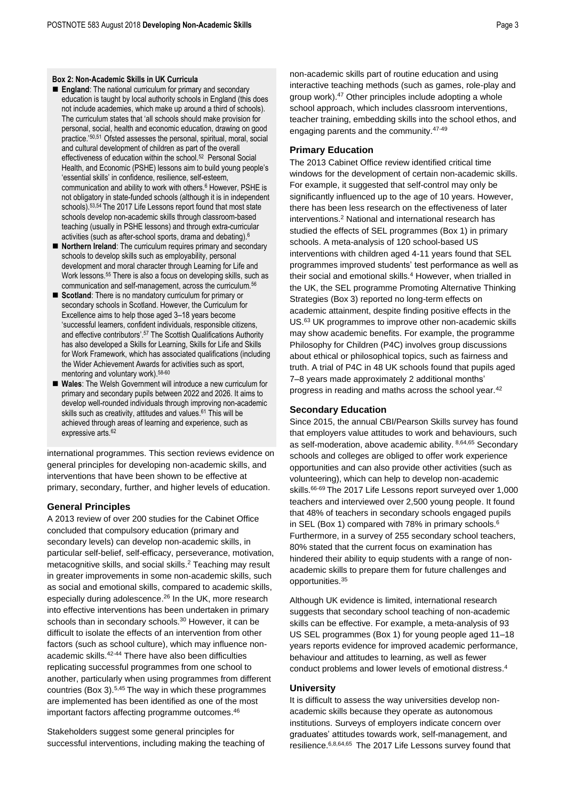### **Box 2: Non-Academic Skills in UK Curricula**

- **England:** The national curriculum for primary and secondary education is taught by local authority schools in England (this does not include academies, which make up around a third of schools). The curriculum states that 'all schools should make provision for personal, social, health and economic education, drawing on good practice.'50,51 Ofsted assesses the personal, spiritual, moral, social and cultural development of children as part of the overall effectiveness of education within the school.<sup>52</sup> Personal Social Health, and Economic (PSHE) lessons aim to build young people's 'essential skills' in confidence, resilience, self-esteem, communication and ability to work with other[s.](#page-0-2)<sup>6</sup> However, PSHE is not obligatory in state-funded schools (although it is in independent schools).53,54 The 2017 Life Lessons report found that most state schools develop non-academic skills through classroom-based teaching (usually in PSHE lessons) and through extra-curricular activities (such as after-school sports, drama and debating[\).](#page-0-2) 6
- **Northern Ireland**: The curriculum requires primary and secondary schools to develop skills such as employability, personal development and moral character through Learning for Life and Work lessons.<sup>55</sup> There is also a focus on developing skills, such as communication and self-management, across the curriculum.<sup>56</sup>
- **Scotland**: There is no mandatory curriculum for primary or secondary schools in Scotland. However, the Curriculum for Excellence aims to help those aged 3–18 years become 'successful learners, confident individuals, responsible citizens, and effective contributors'. <sup>57</sup> The Scottish Qualifications Authority has also developed a Skills for Learning, Skills for Life and Skills for Work Framework, which has associated qualifications (including the Wider Achievement Awards for activities such as sport, mentoring and voluntary work). 58-60
- **Wales**: The Welsh Government will introduce a new curriculum for primary and secondary pupils between 2022 and 2026. It aims to develop well-rounded individuals through improving non-academic skills such as creativity, attitudes and values.<sup>61</sup> This will be achieved through areas of learning and experience, such as expressive arts. 62

international programmes. This section reviews evidence on general principles for developing non-academic skills, and interventions that have been shown to be effective at primary, secondary, further, and higher levels of education.

# **General Principles**

A 2013 review of over 200 studies for the Cabinet Office concluded that compulsory education (primary and secondary levels) can develop non-academic skills, in particular self-belief, self-efficacy, perseverance, motivation, metacognitive skills, and social skills[.](#page-0-0) <sup>2</sup> Teaching may result in greater improvements in some non-academic skills, such as social and emotional skills, compared to academic skills, especially during adolescence.<sup>[26](#page-1-2)</sup> In the UK, more research into effective interventions has been undertaken in primary schools than in secondary schools. [30](#page-1-5) However, it can be difficult to isolate the effects of an intervention from other factors (such as school culture), which may influence nonacademic skills.42-44 There have also been difficulties replicating successful programmes from one school to another, particularly when using programmes from different countries (Box 3).[5,4](#page-0-2)5 The way in which these programmes are implemented has been identified as one of the most important factors affecting programme outcomes. 46

<span id="page-2-5"></span><span id="page-2-4"></span><span id="page-2-1"></span>Stakeholders suggest some general principles for successful interventions, including making the teaching of

<span id="page-2-0"></span>non-academic skills part of routine education and using interactive teaching methods (such as games, role-play and group work).<sup>47</sup> Other principles include adopting a whole school approach, which includes classroom interventions, teacher training, embedding skills into the school ethos, and engaging parents and the community.[47-](#page-2-0)49

# **Primary Education**

The 2013 Cabinet Office review identified critical time windows for the development of certain non-academic skills. For example, it suggested that self-control may only be significantly influenced up to the age of 10 years. However, there has been less research on the effectiveness of later interventions[.](#page-0-0)<sup>2</sup> National and international research has studied the effects of SEL programmes (Box 1) in primary schools. A meta-analysis of 120 school-based US interventions with children aged 4-11 years found that SEL programmes improved students' test performance as well as their social and emotional skills[.](#page-0-0)<sup>4</sup> However, when trialled in the UK, the SEL programme Promoting Alternative Thinking Strategies (Box 3) reported no long-term effects on academic attainment, despite finding positive effects in the US.<sup>63</sup> UK programmes to improve other non-academic skills may show academic benefits. For example, the programme Philosophy for Children (P4C) involves group discussions about ethical or philosophical topics, such as fairness and truth. A trial of P4C in 48 UK schools found that pupils aged 7–8 years made approximately 2 additional months' progress in reading and maths across the school year.[42](#page-2-1)

# **Secondary Education**

<span id="page-2-6"></span><span id="page-2-3"></span><span id="page-2-2"></span>Since 2015, the annual CBI/Pearson Skills survey has found that employers value attitudes to work and behaviours, such as self-moderation, above academic ability, [8,6](#page-0-6)4,65 Secondary schools and colleges are obliged to offer work experience opportunities and can also provide other activities (such as volunteering), which can help to develop non-academic skills.<sup>66-69</sup> The 2017 Life Lessons report surveyed over 1,000 teachers and interviewed over 2,500 young people. It found that 48% of teachers in secondary schools engaged pupils in SEL (Box 1) compared with 78% in primary schools.<sup>[6](#page-0-2)</sup> Furthermore, in a survey of 255 secondary school teachers, 80% stated that the current focus on examination has hindered their ability to equip students with a range of nonacademic skills to prepare them for future challenges and opportunities.[35](#page-1-4)

Although UK evidence is limited, international research suggests that secondary school teaching of non-academic skills can be effective. For example, a meta-analysis of 93 US SEL programmes (Box 1) for young people aged 11–18 years reports evidence for improved academic performance, behaviour and attitudes to learning, as well as fewer conduct problems and lower levels of emotional distress[.](#page-0-0) 4

# **University**

It is difficult to assess the way universities develop nonacademic skills because they operate as autonomous institutions. Surveys of employers indicate concern over graduates' attitudes towards work, self-management, and resilience.[6,](#page-0-2)[8,](#page-0-6)[64,](#page-2-2)[65](#page-2-3) The 2017 Life Lessons survey found that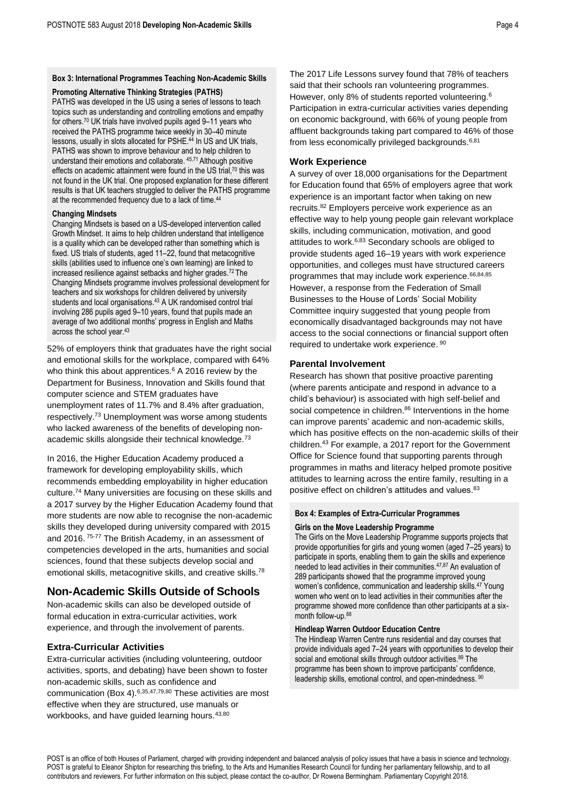### **Promoting Alternative Thinking Strategies (PATHS)**

<span id="page-3-0"></span>PATHS was developed in the US using a series of lessons to teach topics such as understanding and controlling emotions and empathy for others.<sup>70</sup> UK trials have involved pupils aged 9–11 years who received the PATHS programme twice weekly in 30–40 minute lessons, usually in slots allocated for PSHE. [44](#page-2-4) In US and UK trials, PATHS was shown to improve behaviour and to help children to understand their emotions and collaborate. [45,7](#page-2-5)1 Although positive effects on academic attainment were found in the US trial,<sup>[70](#page-3-0)</sup> this was not found in the UK trial. One proposed explanation for these different results is that UK teachers struggled to deliver the PATHS programme at the recommended frequency due to a lack of time.<sup>[44](#page-2-4)</sup>

## **Changing Mindsets**

Changing Mindsets is based on a US-developed intervention called Growth Mindset. It aims to help children understand that intelligence is a quality which can be developed rather than something which is fixed. US trials of students, aged 11–22, found that metacognitive skills (abilities used to influence one's own learning) are linked to increased resilience against setbacks and higher grades.<sup>72</sup> The Changing Mindsets programme involves professional development for teachers and six workshops for children delivered by university students and local organisations.<sup>[43](#page-2-4)</sup> A UK randomised control trial involving 286 pupils aged 9–10 years, found that pupils made an average of two additional months' progress in English and Maths across the school year.[43](#page-2-4)

52% of employers think that graduates have the right social and emotional skills for the workplace, compared with 64% who think this about apprentice[s.](#page-0-2) $6$  A 2016 review by the Department for Business, Innovation and Skills found that computer science and STEM graduates have unemployment rates of 11.7% and 8.4% after graduation, respectively.<sup>73</sup> Unemployment was worse among students who lacked awareness of the benefits of developing non-academic skills alongside their technical knowledge.<sup>[73](#page-3-1)</sup>

<span id="page-3-1"></span>In 2016, the Higher Education Academy produced a framework for developing employability skills, which recommends embedding employability in higher education culture.<sup>74</sup> Many universities are focusing on these skills and a 2017 survey by the Higher Education Academy found that more students are now able to recognise the non-academic skills they developed during university compared with 2015 and 2016. 75-77 The British Academy, in an assessment of competencies developed in the arts, humanities and social sciences, found that these subjects develop social and emotional skills, metacognitive skills, and creative skills.<sup>78</sup>

# **Non-Academic Skills Outside of Schools**

Non-academic skills can also be developed outside of formal education in extra-curricular activities, work experience, and through the involvement of parents.

# **Extra-Curricular Activities**

<span id="page-3-2"></span>Extra-curricular activities (including volunteering, outdoor activities, sports, and debating) have been shown to foster non-academic skills, such as confidence and communication (Box 4).[6,](#page-0-2)[35,](#page-1-4)[47,7](#page-2-0)9,80 These activities are most effective when they are structured, use manuals or workbooks, and have guided learning hours. [43,](#page-2-4)[80](#page-3-2)

The 2017 Life Lessons survey found that 78% of teachers said that their schools ran volunteering programmes. However, only 8% of students reported volunteering.[6](#page-0-2) Participation in extra-curricular activities varies depending on economic background, with 66% of young people from affluent backgrounds taking part compared to 46% of those from less economically privileged backgrounds.<sup>[6,8](#page-0-2)1</sup>

# **Work Experience**

<span id="page-3-4"></span>A survey of over 18,000 organisations for the Department for Education found that 65% of employers agree that work experience is an important factor when taking on new recruits.<sup>82</sup> Employers perceive work experience as an effective way to help young people gain relevant workplace skills, including communication, motivation, and good attitudes to work.[6,8](#page-0-2)3 Secondary schools are obliged to provide students aged 16–19 years with work experience opportunities, and colleges must have structured careers programmes that may include work experience. [66,8](#page-2-6)4,85 However, a response from the Federation of Small Businesses to the House of Lords' Social Mobility Committee inquiry suggested that young people from economically disadvantaged backgrounds may not have access to the social connections or financial support often required to undertake work experience. [90](#page-3-3)

## **Parental Involvement**

Research has shown that positive proactive parenting (where parents anticipate and respond in advance to a child's behaviour) is associated with high self-belief and social competence in children.<sup>86</sup> Interventions in the home can improve parents' academic and non-academic skills, which has positive effects on the non-academic skills of their children.[43](#page-2-4) For example, a 2017 report for the Government Office for Science found that supporting parents through programmes in maths and literacy helped promote positive attitudes to learning across the entire family, resulting in a positive effect on children's attitudes and values.<sup>[83](#page-3-4)</sup>

# **Box 4: Examples of Extra-Curricular Programmes**

### **Girls on the Move Leadership Programme**

The Girls on the Move Leadership Programme supports projects that provide opportunities for girls and young women (aged 7–25 years) to participate in sports, enabling them to gain the skills and experience needed to lead activities in their communities. [47,8](#page-2-0)7 An evaluation of 289 participants showed that the programme improved young women's confidence, communication and leadership skills.[47](#page-2-0) Young women who went on to lead activities in their communities after the programme showed more confidence than other participants at a sixmonth follow-up.<sup>88</sup>

# **Hindleap Warren Outdoor Education Centre**

<span id="page-3-3"></span>The Hindleap Warren Centre runs residential and day courses that provide individuals aged 7–24 years with opportunities to develop their social and emotional skills through outdoor activities.<sup>89</sup> The programme has been shown to improve participants' confidence, leadership skills, emotional control, and open-mindedness. <sup>90</sup>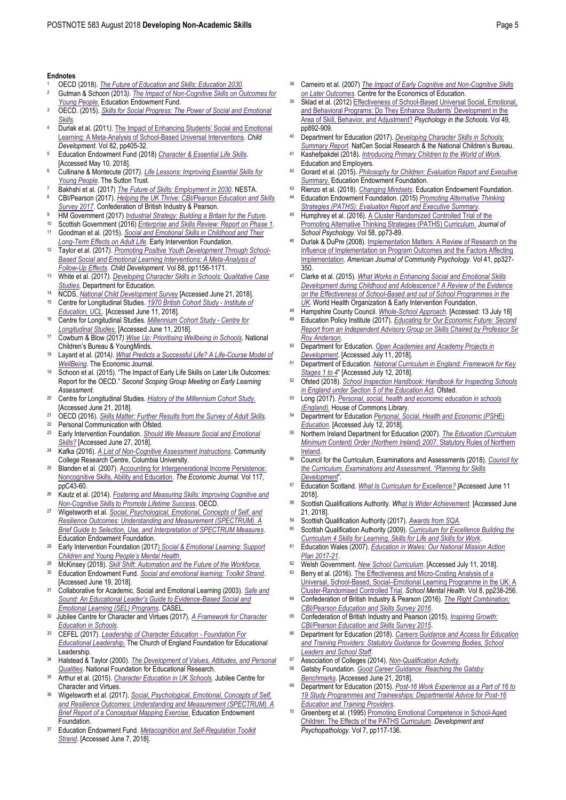#### **Endnotes**

- <sup>1</sup> OECD (2018). *[The Future of Education and Skills: Education 2030](https://www.oecd.org/education/2030/E2030%20Position%20Paper%20(05.04.2018).pdf)*.
- <sup>2</sup> Gutman & Schoon (2013*)[. The Impact of Non-Cognitive Skills on Outcomes for](https://educationendowmentfoundation.org.uk/public/files/Publications/EEF_Lit_Review_Non-CognitiveSkills.pdf)  [Young People.](https://educationendowmentfoundation.org.uk/public/files/Publications/EEF_Lit_Review_Non-CognitiveSkills.pdf)* Education Endowment Fund.
- <sup>3</sup> OECD. (2015). *[Skills for Social Progress: The Power of Social and Emotional](https://read.oecd-ilibrary.org/education/skills-for-social-progress_9789264226159-en)  [Skills.](https://read.oecd-ilibrary.org/education/skills-for-social-progress_9789264226159-en)*
- <sup>4</sup> Durlak et al. (2011*).* [The Impact of Enhancing Students' Social and Emotional](https://doi.org/10.1111/j.1467-8624.2010.01564.x)  [Learning: A Meta-Analysis of School-Based Universal Interventions.](https://doi.org/10.1111/j.1467-8624.2010.01564.x) *Child Development.* Vol 82, pp405-32.
- <sup>5</sup> Education Endowment Fund (2018) *[Character & Essential Life Skills.](https://educationendowmentfoundation.org.uk/school-themes/character)* [Accessed May 10, 2018].
- <sup>6</sup> Cullinane & Montecute (2017*)[. Life Lessons: Improving Essential Skills for](https://www.suttontrust.com/wp-content/uploads/2017/10/Life-Lessons-Report_FINAL.pdf)  [Young People](https://www.suttontrust.com/wp-content/uploads/2017/10/Life-Lessons-Report_FINAL.pdf)*. The Sutton Trust.
- <sup>7</sup> Bakhshi et al. (2017) *[The Future of Skills: Employment in 2030](https://media.nesta.org.uk/documents/the_future_of_skills_employment_in_2030_0.pdf)*. NESTA.
- <sup>8</sup> CBI/Pearson (2017). *[Helping the UK Thrive: CBI/Pearson Education and Skills](http://www.cbi.org.uk/index.cfm/_api/render/file/?method=inline&fileID=DB1A9FE5-5459-4AA2-8B44798DD5B15E77)  [Survey 2017](http://www.cbi.org.uk/index.cfm/_api/render/file/?method=inline&fileID=DB1A9FE5-5459-4AA2-8B44798DD5B15E77)*. Confederation of British Industry & Pearson.
- <sup>9</sup> HM Government (2017) *[Industrial Strategy: Building a Britain for the Future.](https://assets.publishing.service.gov.uk/government/uploads/system/uploads/attachment_data/file/664563/industrial-strategy-white-paper-web-ready-version.pdf)*
- <sup>10</sup> Scottish Government (2016) *[Enterprise and Skills Review: Report on Phase 1.](https://beta.gov.scot/publications/enterprise-skills-review-report-phase-1/documents/00508466.pdf?inline=true)* <sup>11</sup> Goodman et al. (2015). *[Social and Emotional Skills in Childhood and Their](http://www.eif.org.uk/wp-content/uploads/2015/03/EIF-Strand-1-Report-FINAL1.pdf)*
- *[Long-Term Effects on Adult Life.](http://www.eif.org.uk/wp-content/uploads/2015/03/EIF-Strand-1-Report-FINAL1.pdf)* Early Intervention Foundation. <sup>12</sup> Taylor et al. (2017*)[. Promoting Positive Youth Development Through School-](https://doi.org/10.1111/cdev.12864)[Based Social and Emotional Learning Interventions: A Meta-Analysis of](https://doi.org/10.1111/cdev.12864)  [Follow-Up Effects.](https://doi.org/10.1111/cdev.12864) Child Development.* Vol 88, pp1156-1171.
- <sup>13</sup> White et al*.* (2017*)[. Developing Character Skills in Schools: Qualitative Case](https://assets.publishing.service.gov.uk/government/uploads/system/uploads/attachment_data/file/634710/Developing_Character_skills-synthesis_report.pdf)  [Studies.](https://assets.publishing.service.gov.uk/government/uploads/system/uploads/attachment_data/file/634710/Developing_Character_skills-synthesis_report.pdf)* Department for Education.
- <sup>14</sup> NCDS, *[National Child Development Survey](https://www.closer.ac.uk/study/1958-national-child-development-study/)* [Accessed June 21, 2018].
- <sup>15</sup> Centre for Longitudinal Studies. *1970 [British Cohort Study -](https://www.closer.ac.uk/study/1970-british-cohort-study/) Institute of [Education, UCL.](https://www.closer.ac.uk/study/1970-british-cohort-study/)* [Accessed June 11, 2018].
- <sup>16</sup> Centre for Longitudinal Studies*[. Millennium Cohort Study -](https://www.closer.ac.uk/study/millennium-cohort-study/) Centre for [Longitudinal Studies.](https://www.closer.ac.uk/study/millennium-cohort-study/)* [Accessed June 11, 2018].
- <sup>17</sup> Cowburn & Blow (2017*) [Wise Up: Prioritising Wellbeing in Schools.](https://youngminds.org.uk/media/1428/wise-up-prioritising-wellbeing-in-schools.pdf)* National Children's Bureau & YoungMinds.
- <sup>18</sup> Layard et al. (2014*)[. What Predicts a Successful Life? A Life-Course Model of](https://doi.org/10.1111/ecoj.12170)  [WellBeing.](https://doi.org/10.1111/ecoj.12170)* The Economic Journal.
- <sup>19</sup> Schoon et al. (2015). "The Impact of Early Life Skills on Later Life Outcomes: Report for the OECD." *Second Scoping Group Meeting on Early Learning Assessment.*
- <sup>20</sup> Centre for Longitudinal Studies. *[History of the Millennium Cohort Study.](http://www.cls.ioe.ac.uk/page.aspx?&sitesectionid=951&sitesectiontitle=History+of+the+Millennium+Cohort+Study)* [Accessed June 21, 2018].
- <sup>21</sup> OECD (2016). *[Skills Matter: Further Results from the Survey of Adult Skills.](https://hopuk.sharepoint.com/sites/bct-POST/SocialScience/POSTnotes/Developing%20Non-Academic%20Skills/.%20https:/read.oecd-ilibrary.org/education/skills-matter_9789264258051-en)*
- Personal Communication with Ofsted.
- <sup>23</sup> Early Intervention Foundation. *[Should We Measure Social and Emotional](http://www.eif.org.uk/should-we-measure-social-and-emotional-skills/)  [Skills?](http://www.eif.org.uk/should-we-measure-social-and-emotional-skills/)* [Accessed June 27, 2018].
- <sup>24</sup> Kafka (2016). *[A List of Non-Cognitive Assessment Instructions](http://ccrc.tc.columbia.edu/images/a-list-of-non-cognitive-assessment-instruments.pdf)*. Community College Research Centre, Columbia University.
- <sup>25</sup> Blanden et al. (2007). [Accounting for Intergenerational Income Persistence:](https://doi.org/10.1111/j.1468-0297.2007.02034.x)  [Noncognitive Skills, Ability and Education.](https://doi.org/10.1111/j.1468-0297.2007.02034.x) *The Economic Journal.* Vol 117, ppC43-60.
- <sup>26</sup> Kautz et al. (2014). *[Fostering and Measuring Skills: Improving Cognitive and](http://www.oecd.org/education/ceri/Fostering-and-Measuring-Skills-Improving-Cognitive-and-Non-Cognitive-Skills-to-Promote-Lifetime-Success.pdf)  [Non-Cognitive Skills to Promote Lifetime Success](http://www.oecd.org/education/ceri/Fostering-and-Measuring-Skills-Improving-Cognitive-and-Non-Cognitive-Skills-to-Promote-Lifetime-Success.pdf)*. OECD.
- <sup>27</sup> Wigelsworth et al. *[Social, Psychological, Emotional, Concepts of Self, and](https://educationendowmentfoundation.org.uk/public/files/Evaluation/SPECTRUM/V6_Guidance_document.pdf)  [Resilience Outcomes: Understanding and Measurement \(SPECTRUM\). A](https://educationendowmentfoundation.org.uk/public/files/Evaluation/SPECTRUM/V6_Guidance_document.pdf)  [Brief Guide to Selection, Use, and Interpretation of SPECTRUM Measures](https://educationendowmentfoundation.org.uk/public/files/Evaluation/SPECTRUM/V6_Guidance_document.pdf)*. Education Endowment Foundation.
- <sup>28</sup> Early Intervention Foundation (2017) *Social & Emotional Learning: Support Children and Young People's Mental Health*.
- <sup>29</sup> McKinsey (2018). *[Skill Shift: Automation and the Future of the Workforce](https://www.mckinsey.com/featured-insights/future-of-organizations-and-work/skill-shift-automation-and-the-future-of-the-workforce)*. <sup>30</sup> Education Endowment Fund. *[Social and emotional learning: Toolkit Strand](https://educationendowmentfoundation.org.uk/evidence-summaries/teaching-learning-toolkit/social-and-emotional-learning)*.
- [Accessed June 19, 2018].
- <sup>31</sup> Collaborative for Academic, Social and Emotional Learning (2003). *[Safe and](http://indiana.edu/~pbisin/pdf/Safe_and_Sound.pdf)  [Sound: An Educational Leader's Guide to Evidence](http://indiana.edu/~pbisin/pdf/Safe_and_Sound.pdf)-Based Social and [Emotional Learning \(SEL\) Programs](http://indiana.edu/~pbisin/pdf/Safe_and_Sound.pdf)*. CASEL.
- 32 Jubilee Centre for Character and Virtues (2017). *[A Framework for Character](https://www.jubileecentre.ac.uk/userfiles/jubileecentre/pdf/character-education/Framework%20for%20Character%20Education.pdf)  [Education in Schools](https://www.jubileecentre.ac.uk/userfiles/jubileecentre/pdf/character-education/Framework%20for%20Character%20Education.pdf)*.
- 33 CEFEL (2017). *[Leadership of Character Education -](https://www.cefel.org.uk/character/) Foundation For [Educational Leadership](https://www.cefel.org.uk/character/)*. The Church of England Foundation for Educational Leadership.
- <sup>34</sup> Halstead & Taylor (2000). *[The Development of Values, Attitudes, and Personal](https://hopuk.sharepoint.com/sites/bct-POST/SocialScience/POSTnotes/Developing%20Non-Academic%20Skills/.%20https:/www.nfer.ac.uk/publications/91009/91009.pdf)  [Qualities](https://hopuk.sharepoint.com/sites/bct-POST/SocialScience/POSTnotes/Developing%20Non-Academic%20Skills/.%20https:/www.nfer.ac.uk/publications/91009/91009.pdf)*. National Foundation for Educational Research.
- <sup>35</sup> Arthur et al. (2015). *[Character Education in UK Schools](https://www.jubileecentre.ac.uk/userfiles/jubileecentre/pdf/Research%20Reports/Character_Education_in_UK_Schools.pdf)*. Jubilee Centre for Character and Virtues.
- <sup>36</sup> Wigelsworth et al. (2017). *[Social, Psychological, Emotional, Concepts of Self,](https://educationendowmentfoundation.org.uk/public/files/Evaluation/SPECTRUM/EEF_SPECTRUM_Guidance_Document_Conceptual_mapping.pdf)  [and Resilience Outcomes: Understanding and Measurement \(SPECTRUM\). A](https://educationendowmentfoundation.org.uk/public/files/Evaluation/SPECTRUM/EEF_SPECTRUM_Guidance_Document_Conceptual_mapping.pdf)  [Brief Report of a Conceptual Mapping Exercise](https://educationendowmentfoundation.org.uk/public/files/Evaluation/SPECTRUM/EEF_SPECTRUM_Guidance_Document_Conceptual_mapping.pdf)*. Education Endowment **Foundation**
- <sup>37</sup> Education Endowment Fund. *[Metacognition and Self-Regulation Toolkit](https://educationendowmentfoundation.org.uk/evidence-summaries/teaching-learning-toolkit/meta-cognition-and-self-regulation)*  **[Strand](https://educationendowmentfoundation.org.uk/evidence-summaries/teaching-learning-toolkit/meta-cognition-and-self-regulation).** [Accessed June 7, 2018].
- <sup>38</sup> Carneiro et al. (2007) *[The Impact of Early Cognitive and Non-Cognitive](http://eprints.lse.ac.uk/19375/1/The_Impact_of_Early_Cognitive_and_Non-Cognitive_Skills_on_Later_Outcomes.pdf) Skills [on Later Outcomes](http://eprints.lse.ac.uk/19375/1/The_Impact_of_Early_Cognitive_and_Non-Cognitive_Skills_on_Later_Outcomes.pdf)*. Centre for the Economics of Education.
- Sklad et al. (2012) Effectiveness of School-Based Universal Social, Emotional, [and Behavioral Programs: Do They Enhance Students' Development in the](https://doi.org/10.1002/pits.21641)  [Area of Skill, Behavior, and Adjustment?](https://doi.org/10.1002/pits.21641) *Psychology in the Schools.* Vol 49, pp892-909.
- Department for Education (2017). *Developing Character Skills in Schools: [Summary Report](https://assets.publishing.service.gov.uk/government/uploads/system/uploads/attachment_data/file/634710/Developing_Character_skills-synthesis_report.pdf)*. NatCen Social Research & the National Children's Bureau.
- <sup>41</sup> Kashefpakdel (2018). *[Introducing Primary Children to the World of Work](https://www.educationandemployers.org/wp-content/uploads/2018/07/Introducing-children-to-the-world-of-work-FINAL.pdf)*. Education and Employers.
- <sup>42</sup> Gorard et al. (2015). *[Philosophy for Children: Evaluation Report and Executive](https://v1.educationendowmentfoundation.org.uk/uploads/pdf/Philosophy_for_Children.pdf)  [Summary](https://v1.educationendowmentfoundation.org.uk/uploads/pdf/Philosophy_for_Children.pdf)*. Education Endowment Foundation.
- <sup>43</sup> Rienzo et al. (2018). *[Changing Mindsets](https://v1.educationendowmentfoundation.org.uk/uploads/pdf/Changing_Mindsets.pdf)*. Education Endowment Foundation. <sup>44</sup> Education Endowment Foundation. (2015) *[Promoting Alternative Thinking](https://educationendowmentfoundation.org.uk/public/files/Projects/Evaluation_Reports/PAThS.pdf)*
- *[Strategies \(PATHS\): Evaluation Report and Executive Summary](https://educationendowmentfoundation.org.uk/public/files/Projects/Evaluation_Reports/PAThS.pdf)*. <sup>45</sup> Humphrey et al. (2016). [A Cluster Randomized Controlled Trial of the](https://doi.org/10.1016/j.jsp.2016.07.002)
- [Promoting Alternative Thinking Strategies \(PATHS\) Curriculum.](https://doi.org/10.1016/j.jsp.2016.07.002) *Journal of School Psychology.* Vol 58, pp73-89.
- Durlak & DuPre (2008). Implementation Matters: A Review of Research on the [Influence of Implementation on Program Outcomes and the Factors Affecting](https://doi.org/10.1007/s10464-008-9165-0)  [Implementation.](https://doi.org/10.1007/s10464-008-9165-0) *American Journal of Community Psychology.* Vol 41, pp327- 350.
- <sup>47</sup> Clarke et al. (2015). *[What Works in Enhancing Social and Emotional Skills](ttp://www.eif.org.uk/wp-content/uploads/2015/03/Review-of-Social-and-Emotional-Skills-Based-Intervention_Report-WEB-VERSION.pdf)  [Development during Childhood and Adolescence? A Review of the Evidence](ttp://www.eif.org.uk/wp-content/uploads/2015/03/Review-of-Social-and-Emotional-Skills-Based-Intervention_Report-WEB-VERSION.pdf)  [on the Effectiveness of School-Based and out of School Programmes in the](ttp://www.eif.org.uk/wp-content/uploads/2015/03/Review-of-Social-and-Emotional-Skills-Based-Intervention_Report-WEB-VERSION.pdf)  [UK](ttp://www.eif.org.uk/wp-content/uploads/2015/03/Review-of-Social-and-Emotional-Skills-Based-Intervention_Report-WEB-VERSION.pdf)*. World Health Organization & Early Intervention Foundation,
- 48 **Hampshire County Council.** *[Whole-School Approach](http://www3.hants.gov.uk/education/hias/healthyschools/whole-school-approach.htm)*. [Accessed: 13 July 18]<br>49 **Education Policy Institute (2017)** *Educating for Our Economic Euture: Secon*
- <sup>49</sup> Education Policy Institute (2017). *[Educating for Our Economic Future: Second](https://epi.org.uk/wp-content/uploads/2018/01/Educating-for-our-Economic-Future-Advisory-Group.pdf)  [Report from an Independent Advisory Group on Skills Chaired by Professor Sir](https://epi.org.uk/wp-content/uploads/2018/01/Educating-for-our-Economic-Future-Advisory-Group.pdf)  [Roy Anderson.](https://epi.org.uk/wp-content/uploads/2018/01/Educating-for-our-Economic-Future-Advisory-Group.pdf)*
- <sup>50</sup> Department for Education. *Open Academies [and Academy Projects in](https://www.gov.uk/government/publications/open-academies-and-academy-projects-in-development)  [Development](https://www.gov.uk/government/publications/open-academies-and-academy-projects-in-development)*. [Accessed July 11, 2018].
- <sup>51</sup> Department of Education. *[National Curriculum in England: Framework for Key](https://www.gov.uk/government/publications/national-curriculum-in-england-framework-for-key-stages-1-to-4/the-national-curriculum-in-england-framework-for-key-stages-1-to-4#the-national-curriculum-in-england)  [Stages 1 to 4](https://www.gov.uk/government/publications/national-curriculum-in-england-framework-for-key-stages-1-to-4/the-national-curriculum-in-england-framework-for-key-stages-1-to-4#the-national-curriculum-in-england)*" [Accessed July 12, 2018].
- <sup>52</sup> Ofsted (2018). *[School Inspection Handbook: Handbook for Inspecting Schools](https://assets.publishing.service.gov.uk/government/uploads/system/uploads/attachment_data/file/699810/School_inspection_handbook_section_5.pdf%20p38-41.)  [in England under Section 5 of the Education Act.](https://assets.publishing.service.gov.uk/government/uploads/system/uploads/attachment_data/file/699810/School_inspection_handbook_section_5.pdf%20p38-41.)* Ofsted.
- 53 Long (2017). *[Personal, social, health and economic education in schools](https://researchbriefings.parliament.uk/ResearchBriefing/Summary/CBP-7303)  [\(England\)](https://researchbriefings.parliament.uk/ResearchBriefing/Summary/CBP-7303)*. House of Commons Library.
- <sup>54</sup> Department for Education *[Personal, Social, Health and Economic \(PSHE\)](https://www.gov.uk/government/publications/personal-social-health-and-economic-education-pshe/personal-social-health-and-economic-pshe-education)  [Education](https://www.gov.uk/government/publications/personal-social-health-and-economic-education-pshe/personal-social-health-and-economic-pshe-education)*. [Accessed July 12, 2018].
- <sup>55</sup> Northern Ireland Department for Education (2007). *[The Education \(Curriculum](http://www.legislation.gov.uk/nisr/2007/46/pdfs/nisr_20070046_en.pdf)  [Minimum Content\) Order \(Northern Ireland\) 2007](http://www.legislation.gov.uk/nisr/2007/46/pdfs/nisr_20070046_en.pdf)*. Statutory Rules of Northern **Ireland**
- <sup>56</sup> Council for the Curriculum, Examinations and Assessments (2018). *[Council for](http://ccea.org.uk/curriculum/key_stage_3/skills_and_capabilities/planning_skills_development)  [the Curriculum, Examinations and Assessment. "Planning for Skills](http://ccea.org.uk/curriculum/key_stage_3/skills_and_capabilities/planning_skills_development)  [Development](http://ccea.org.uk/curriculum/key_stage_3/skills_and_capabilities/planning_skills_development)*".
- <sup>57</sup> Education Scotland. *[What Is Curriculum for Excellence?](https://education.gov.scot/scottish-education-system/policy-for-scottish-education/policy-drivers/cfe-(building-from-the-statement-appendix-incl-btc1-5)/What%20is%20Curriculum%20for%20Excellence?) [*Accessed June 11 2018].
- <sup>58</sup> Scottish Qualifications Authority. *W[hat Is Wider Achievement.](https://www.sqa.org.uk/sqa/80036.html)* [Accessed June 21, 2018].
- <sup>59</sup> Scottish Qualification Authority (2017). *[Awards from SQA.](https://www.sqa.org.uk/sqa/files_ccc/awards-from-sqa.pdf)*
- <sup>60</sup> Scottish Qualification Authority (2009). *[Curriculum for Excellence Building the](https://scqf.org.uk/media/1142/btc4_skills_tcm4-569141.pdf)  [Curriculum 4 Skills for Learning, Skills for Life and Skills for Work](https://scqf.org.uk/media/1142/btc4_skills_tcm4-569141.pdf)*.
- <sup>61</sup> Education Wales (2007). *[Education in Wales: Our National Mission Action](https://gov.wales/docs/dcells/publications/170926-education-in-wales-en.pdf)  [Plan 2017-21](https://gov.wales/docs/dcells/publications/170926-education-in-wales-en.pdf)*.
- <sup>62</sup> Welsh Government. *[New School Curriculum](https://gov.wales/topics/educationandskills/schoolshome/curriculuminwales/curriculum-for-wales-curriculum-for-life/?lang=en)*. [Accessed July 11, 2018]. Berry et al. (2016). The Effectiveness and Micro-Costing Analysis of a
- Universal, School-Based, Social–Emotional Learning Programme in the UK [Cluster-Randomised Controlled Trial.](https://doi.org/10.1007/s12310-015-9160-1) *School Mental Health.* Vol 8, pp238-256.
- <sup>64</sup> Confederation of British Industry & Pearson (2016). *[The Right Combination:](http://www.cbi.org.uk/cbi-prod/assets/File/pdf/cbi-education-and-skills-survey2016.pdf)  [CBI/Pearson Education and Skills Survey 2016](http://www.cbi.org.uk/cbi-prod/assets/File/pdf/cbi-education-and-skills-survey2016.pdf)*.
- <sup>65</sup> Confederation of British Industry and Pearson (2015). *[Inspiring Growth:](http://www.cbi.org.uk/index.cfm/_api/render/file/?method=inline&fileID=92095A98-3A90-4FBD-9AF891997B103F50)  [CBI/Pearson Education and Skills Survey 2015](http://www.cbi.org.uk/index.cfm/_api/render/file/?method=inline&fileID=92095A98-3A90-4FBD-9AF891997B103F50)*.
- <sup>66</sup> Department for Education (2018). *[Careers Guidance and Access for Education](https://assets.publishing.service.gov.uk/government/uploads/system/uploads/attachment_data/file/672418/_Careers_guidance_and_access_for_education_and_training_providers.pdf)  [and Training Providers: Statutory Guidance for Governing Bodies, School](https://assets.publishing.service.gov.uk/government/uploads/system/uploads/attachment_data/file/672418/_Careers_guidance_and_access_for_education_and_training_providers.pdf)  [Leaders and School Staff](https://assets.publishing.service.gov.uk/government/uploads/system/uploads/attachment_data/file/672418/_Careers_guidance_and_access_for_education_and_training_providers.pdf)*.
- <sup>67</sup> Association of Colleges (2014). *[Non-Qualification Activity.](https://www.aoc.co.uk/teaching-and-learning/study-programmes-central/work-experience-non-qualification-activity-and-1)*
- <sup>68</sup> Gatsby Foundation. *[Good Career Guidance: Reaching the Gatsby](http://www.gatsby.org.uk/uploads/education/good-career-guidance-handbook-digital.pdf)  [Benchmarks.](http://www.gatsby.org.uk/uploads/education/good-career-guidance-handbook-digital.pdf)* [Accessed June 21, 2018].
- <sup>69</sup> Department for Education (2015). *[Post-16 Work Experience as a Part of 16 to](https://assets.publishing.service.gov.uk/government/uploads/system/uploads/attachment_data/file/534922/Post_16_work_experience_guidance.pdf)  [19 Study Programmes and Traineeships: Departmental Advice for Post-16](https://assets.publishing.service.gov.uk/government/uploads/system/uploads/attachment_data/file/534922/Post_16_work_experience_guidance.pdf)  [Education and Training Providers](https://assets.publishing.service.gov.uk/government/uploads/system/uploads/attachment_data/file/534922/Post_16_work_experience_guidance.pdf)*.
- Greenberg et al. (1995) Promoting Emotional Competence in School-Aged [Children: The Effects of the PATHS Curriculum.](https://doi.org/10.1017/S0954579400006374) *Development and Psychopathology.* Vol 7, pp117-136.